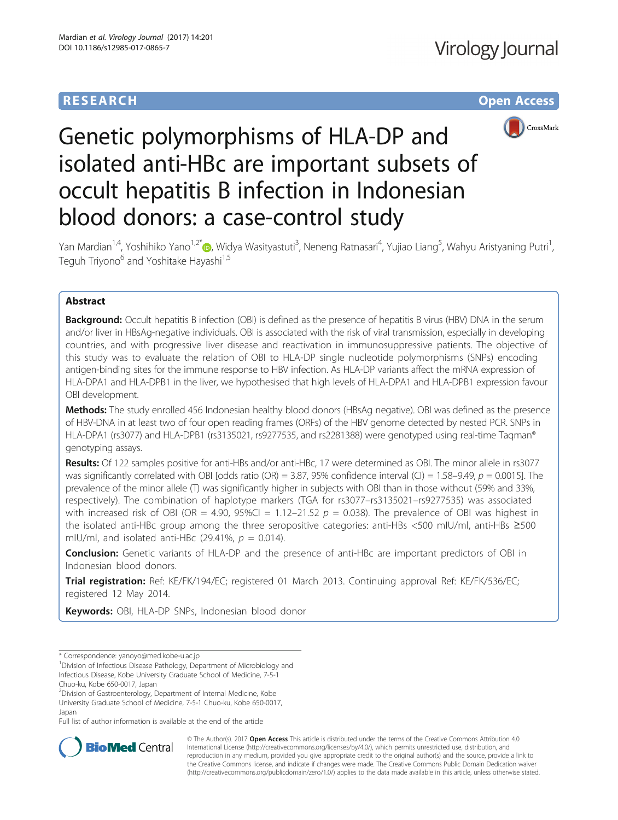# **RESEARCH CHE Open Access**



# Genetic polymorphisms of HLA-DP and isolated anti-HBc are important subsets of occult hepatitis B infection in Indonesian blood donors: a case-control study

Yan Mardian<sup>1[,](http://orcid.org/0000-0002-5177-7480)4</sup>, Yoshihiko Yano<sup>1,2\*</sup>៊®, Widya Wasityastuti<sup>3</sup>, Neneng Ratnasari<sup>4</sup>, Yujiao Liang<sup>5</sup>, Wahyu Aristyaning Putri<sup>1</sup> , Teguh Triyono<sup>6</sup> and Yoshitake Hayashi<sup>1,5</sup>

# Abstract

**Background:** Occult hepatitis B infection (OBI) is defined as the presence of hepatitis B virus (HBV) DNA in the serum and/or liver in HBsAg-negative individuals. OBI is associated with the risk of viral transmission, especially in developing countries, and with progressive liver disease and reactivation in immunosuppressive patients. The objective of this study was to evaluate the relation of OBI to HLA-DP single nucleotide polymorphisms (SNPs) encoding antigen-binding sites for the immune response to HBV infection. As HLA-DP variants affect the mRNA expression of HLA-DPA1 and HLA-DPB1 in the liver, we hypothesised that high levels of HLA-DPA1 and HLA-DPB1 expression favour OBI development.

Methods: The study enrolled 456 Indonesian healthy blood donors (HBsAg negative). OBI was defined as the presence of HBV-DNA in at least two of four open reading frames (ORFs) of the HBV genome detected by nested PCR. SNPs in HLA-DPA1 (rs3077) and HLA-DPB1 (rs3135021, rs9277535, and rs2281388) were genotyped using real-time Tagman® genotyping assays.

Results: Of 122 samples positive for anti-HBs and/or anti-HBc, 17 were determined as OBI. The minor allele in rs3077 was significantly correlated with OBI [odds ratio (OR) = 3.87, 95% confidence interval (CI) = 1.58–9.49,  $p = 0.0015$ ]. The prevalence of the minor allele (T) was significantly higher in subjects with OBI than in those without (59% and 33%, respectively). The combination of haplotype markers (TGA for rs3077–rs3135021–rs9277535) was associated with increased risk of OBI (OR = 4.90, 95%CI = 1.12–21.52  $p = 0.038$ ). The prevalence of OBI was highest in the isolated anti-HBc group among the three seropositive categories: anti-HBs <500 mIU/ml, anti-HBs ≥500 mIU/ml, and isolated anti-HBc (29.41%,  $p = 0.014$ ).

Conclusion: Genetic variants of HLA-DP and the presence of anti-HBc are important predictors of OBI in Indonesian blood donors.

Trial registration: Ref: KE/FK/194/EC; registered 01 March 2013. Continuing approval Ref: KE/FK/536/EC; registered 12 May 2014.

Keywords: OBI, HLA-DP SNPs, Indonesian blood donor

Chuo-ku, Kobe 650-0017, Japan

<sup>2</sup> Division of Gastroenterology, Department of Internal Medicine, Kobe University Graduate School of Medicine, 7-5-1 Chuo-ku, Kobe 650-0017, Japan

Full list of author information is available at the end of the article



© The Author(s). 2017 **Open Access** This article is distributed under the terms of the Creative Commons Attribution 4.0 International License [\(http://creativecommons.org/licenses/by/4.0/](http://creativecommons.org/licenses/by/4.0/)), which permits unrestricted use, distribution, and reproduction in any medium, provided you give appropriate credit to the original author(s) and the source, provide a link to the Creative Commons license, and indicate if changes were made. The Creative Commons Public Domain Dedication waiver [\(http://creativecommons.org/publicdomain/zero/1.0/](http://creativecommons.org/publicdomain/zero/1.0/)) applies to the data made available in this article, unless otherwise stated.

<sup>\*</sup> Correspondence: [yanoyo@med.kobe-u.ac.jp](mailto:yanoyo@med.kobe-u.ac.jp) <sup>1</sup>

<sup>&</sup>lt;sup>1</sup>Division of Infectious Disease Pathology, Department of Microbiology and Infectious Disease, Kobe University Graduate School of Medicine, 7-5-1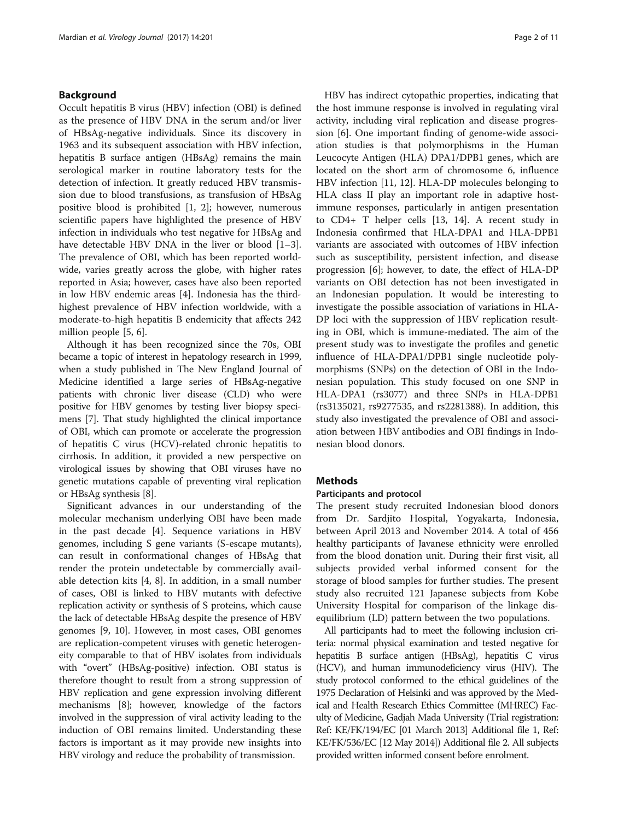# Background

Occult hepatitis B virus (HBV) infection (OBI) is defined as the presence of HBV DNA in the serum and/or liver of HBsAg-negative individuals. Since its discovery in 1963 and its subsequent association with HBV infection, hepatitis B surface antigen (HBsAg) remains the main serological marker in routine laboratory tests for the detection of infection. It greatly reduced HBV transmission due to blood transfusions, as transfusion of HBsAg positive blood is prohibited [[1, 2\]](#page-9-0); however, numerous scientific papers have highlighted the presence of HBV infection in individuals who test negative for HBsAg and have detectable HBV DNA in the liver or blood [\[1](#page-9-0)–[3](#page-9-0)]. The prevalence of OBI, which has been reported worldwide, varies greatly across the globe, with higher rates reported in Asia; however, cases have also been reported in low HBV endemic areas [\[4\]](#page-9-0). Indonesia has the thirdhighest prevalence of HBV infection worldwide, with a moderate-to-high hepatitis B endemicity that affects 242 million people [[5](#page-9-0), [6](#page-9-0)].

Although it has been recognized since the 70s, OBI became a topic of interest in hepatology research in 1999, when a study published in The New England Journal of Medicine identified a large series of HBsAg-negative patients with chronic liver disease (CLD) who were positive for HBV genomes by testing liver biopsy specimens [\[7\]](#page-9-0). That study highlighted the clinical importance of OBI, which can promote or accelerate the progression of hepatitis C virus (HCV)-related chronic hepatitis to cirrhosis. In addition, it provided a new perspective on virological issues by showing that OBI viruses have no genetic mutations capable of preventing viral replication or HBsAg synthesis [\[8](#page-9-0)].

Significant advances in our understanding of the molecular mechanism underlying OBI have been made in the past decade [[4\]](#page-9-0). Sequence variations in HBV genomes, including S gene variants (S-escape mutants), can result in conformational changes of HBsAg that render the protein undetectable by commercially available detection kits [[4, 8](#page-9-0)]. In addition, in a small number of cases, OBI is linked to HBV mutants with defective replication activity or synthesis of S proteins, which cause the lack of detectable HBsAg despite the presence of HBV genomes [\[9](#page-9-0), [10](#page-9-0)]. However, in most cases, OBI genomes are replication-competent viruses with genetic heterogeneity comparable to that of HBV isolates from individuals with "overt" (HBsAg-positive) infection. OBI status is therefore thought to result from a strong suppression of HBV replication and gene expression involving different mechanisms [\[8\]](#page-9-0); however, knowledge of the factors involved in the suppression of viral activity leading to the induction of OBI remains limited. Understanding these factors is important as it may provide new insights into HBV virology and reduce the probability of transmission.

HBV has indirect cytopathic properties, indicating that the host immune response is involved in regulating viral activity, including viral replication and disease progression [\[6](#page-9-0)]. One important finding of genome-wide association studies is that polymorphisms in the Human Leucocyte Antigen (HLA) DPA1/DPB1 genes, which are located on the short arm of chromosome 6, influence HBV infection [\[11](#page-9-0), [12](#page-9-0)]. HLA-DP molecules belonging to HLA class II play an important role in adaptive hostimmune responses, particularly in antigen presentation to CD4+ T helper cells [[13](#page-9-0), [14](#page-9-0)]. A recent study in Indonesia confirmed that HLA-DPA1 and HLA-DPB1 variants are associated with outcomes of HBV infection such as susceptibility, persistent infection, and disease progression [\[6\]](#page-9-0); however, to date, the effect of HLA-DP variants on OBI detection has not been investigated in an Indonesian population. It would be interesting to investigate the possible association of variations in HLA-DP loci with the suppression of HBV replication resulting in OBI, which is immune-mediated. The aim of the present study was to investigate the profiles and genetic influence of HLA-DPA1/DPB1 single nucleotide polymorphisms (SNPs) on the detection of OBI in the Indonesian population. This study focused on one SNP in HLA-DPA1 (rs3077) and three SNPs in HLA-DPB1 (rs3135021, rs9277535, and rs2281388). In addition, this study also investigated the prevalence of OBI and association between HBV antibodies and OBI findings in Indonesian blood donors.

# Methods

# Participants and protocol

The present study recruited Indonesian blood donors from Dr. Sardjito Hospital, Yogyakarta, Indonesia, between April 2013 and November 2014. A total of 456 healthy participants of Javanese ethnicity were enrolled from the blood donation unit. During their first visit, all subjects provided verbal informed consent for the storage of blood samples for further studies. The present study also recruited 121 Japanese subjects from Kobe University Hospital for comparison of the linkage disequilibrium (LD) pattern between the two populations.

All participants had to meet the following inclusion criteria: normal physical examination and tested negative for hepatitis B surface antigen (HBsAg), hepatitis C virus (HCV), and human immunodeficiency virus (HIV). The study protocol conformed to the ethical guidelines of the 1975 Declaration of Helsinki and was approved by the Medical and Health Research Ethics Committee (MHREC) Faculty of Medicine, Gadjah Mada University (Trial registration: Ref: KE/FK/194/EC [01 March 2013] Additional file [1](#page-9-0), Ref: KE/FK/536/EC [12 May 2014]) Additional file [2](#page-9-0). All subjects provided written informed consent before enrolment.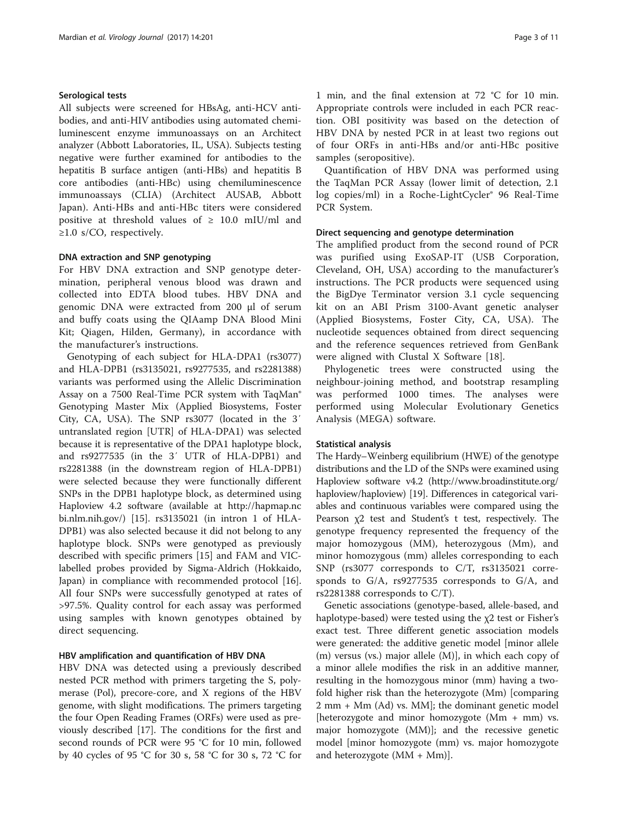# Serological tests

All subjects were screened for HBsAg, anti-HCV antibodies, and anti-HIV antibodies using automated chemiluminescent enzyme immunoassays on an Architect analyzer (Abbott Laboratories, IL, USA). Subjects testing negative were further examined for antibodies to the hepatitis B surface antigen (anti-HBs) and hepatitis B core antibodies (anti-HBc) using chemiluminescence immunoassays (CLIA) (Architect AUSAB, Abbott Japan). Anti-HBs and anti-HBc titers were considered positive at threshold values of  $\geq 10.0$  mIU/ml and  $\geq$ 1.0 s/CO, respectively.

# DNA extraction and SNP genotyping

For HBV DNA extraction and SNP genotype determination, peripheral venous blood was drawn and collected into EDTA blood tubes. HBV DNA and genomic DNA were extracted from 200 μl of serum and buffy coats using the QIAamp DNA Blood Mini Kit; Qiagen, Hilden, Germany), in accordance with the manufacturer's instructions.

Genotyping of each subject for HLA-DPA1 (rs3077) and HLA-DPB1 (rs3135021, rs9277535, and rs2281388) variants was performed using the Allelic Discrimination Assay on a 7500 Real-Time PCR system with TaqMan® Genotyping Master Mix (Applied Biosystems, Foster City, CA, USA). The SNP rs3077 (located in the 3′ untranslated region [UTR] of HLA-DPA1) was selected because it is representative of the DPA1 haplotype block, and rs9277535 (in the 3′ UTR of HLA-DPB1) and rs2281388 (in the downstream region of HLA-DPB1) were selected because they were functionally different SNPs in the DPB1 haplotype block, as determined using Haploview 4.2 software (available at [http://hapmap.nc](http://hapmap.ncbi.nlm.nih.gov/)) [bi.nlm.nih.gov/\)](http://hapmap.ncbi.nlm.nih.gov/)) [[15](#page-9-0)]. rs3135021 (in intron 1 of HLA-DPB1) was also selected because it did not belong to any haplotype block. SNPs were genotyped as previously described with specific primers [\[15](#page-9-0)] and FAM and VIClabelled probes provided by Sigma-Aldrich (Hokkaido, Japan) in compliance with recommended protocol [\[16](#page-9-0)]. All four SNPs were successfully genotyped at rates of >97.5%. Quality control for each assay was performed using samples with known genotypes obtained by direct sequencing.

# HBV amplification and quantification of HBV DNA

HBV DNA was detected using a previously described nested PCR method with primers targeting the S, polymerase (Pol), precore-core, and X regions of the HBV genome, with slight modifications. The primers targeting the four Open Reading Frames (ORFs) were used as previously described [\[17](#page-10-0)]. The conditions for the first and second rounds of PCR were 95 °C for 10 min, followed by 40 cycles of 95 °C for 30 s, 58 °C for 30 s, 72 °C for

1 min, and the final extension at 72 °C for 10 min. Appropriate controls were included in each PCR reaction. OBI positivity was based on the detection of HBV DNA by nested PCR in at least two regions out of four ORFs in anti-HBs and/or anti-HBc positive samples (seropositive).

Quantification of HBV DNA was performed using the TaqMan PCR Assay (lower limit of detection, 2.1 log copies/ml) in a Roche-LightCycler® 96 Real-Time PCR System.

# Direct sequencing and genotype determination

The amplified product from the second round of PCR was purified using ExoSAP-IT (USB Corporation, Cleveland, OH, USA) according to the manufacturer's instructions. The PCR products were sequenced using the BigDye Terminator version 3.1 cycle sequencing kit on an ABI Prism 3100-Avant genetic analyser (Applied Biosystems, Foster City, CA, USA). The nucleotide sequences obtained from direct sequencing and the reference sequences retrieved from GenBank were aligned with Clustal X Software [\[18](#page-10-0)].

Phylogenetic trees were constructed using the neighbour-joining method, and bootstrap resampling was performed 1000 times. The analyses were performed using Molecular Evolutionary Genetics Analysis (MEGA) software.

# Statistical analysis

The Hardy–Weinberg equilibrium (HWE) of the genotype distributions and the LD of the SNPs were examined using Haploview software v4.2 [\(http://www.broadinstitute.org/](http://www.broadinstitute.org/haploview/haploview)) [haploview/haploview\)](http://www.broadinstitute.org/haploview/haploview)) [[19](#page-10-0)]. Differences in categorical variables and continuous variables were compared using the Pearson χ2 test and Student's t test, respectively. The genotype frequency represented the frequency of the major homozygous (MM), heterozygous (Mm), and minor homozygous (mm) alleles corresponding to each SNP (rs3077 corresponds to C/T, rs3135021 corresponds to G/A, rs9277535 corresponds to G/A, and rs2281388 corresponds to C/T).

Genetic associations (genotype-based, allele-based, and haplotype-based) were tested using the χ2 test or Fisher's exact test. Three different genetic association models were generated: the additive genetic model [minor allele (m) versus (vs.) major allele (M)], in which each copy of a minor allele modifies the risk in an additive manner, resulting in the homozygous minor (mm) having a twofold higher risk than the heterozygote (Mm) [comparing 2 mm + Mm (Ad) vs. MM]; the dominant genetic model [heterozygote and minor homozygote (Mm + mm) vs. major homozygote (MM)]; and the recessive genetic model [minor homozygote (mm) vs. major homozygote and heterozygote (MM + Mm)].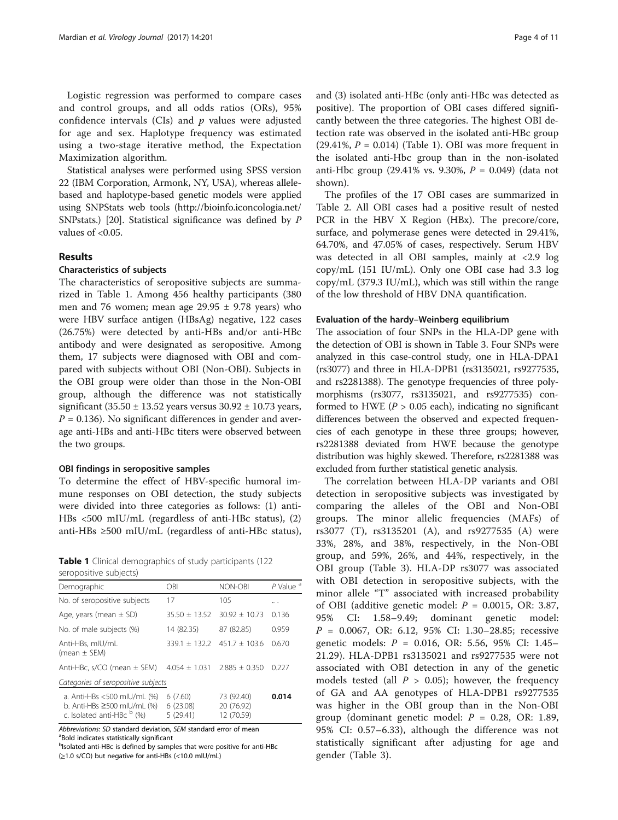<span id="page-3-0"></span>Logistic regression was performed to compare cases and control groups, and all odds ratios (ORs), 95% confidence intervals  $(CIs)$  and  $p$  values were adjusted for age and sex. Haplotype frequency was estimated using a two-stage iterative method, the Expectation Maximization algorithm.

Statistical analyses were performed using SPSS version 22 (IBM Corporation, Armonk, NY, USA), whereas allelebased and haplotype-based genetic models were applied using SNPStats web tools [\(http://bioinfo.iconcologia.net/](http://bioinfo.iconcologia.net/SNPstats) [SNPstats](http://bioinfo.iconcologia.net/SNPstats).) [\[20\]](#page-10-0). Statistical significance was defined by P values of <0.05.

# Results

# Characteristics of subjects

The characteristics of seropositive subjects are summarized in Table 1. Among 456 healthy participants (380 men and 76 women; mean age 29.95 ± 9.78 years) who were HBV surface antigen (HBsAg) negative, 122 cases (26.75%) were detected by anti-HBs and/or anti-HBc antibody and were designated as seropositive. Among them, 17 subjects were diagnosed with OBI and compared with subjects without OBI (Non-OBI). Subjects in the OBI group were older than those in the Non-OBI group, although the difference was not statistically significant (35.50  $\pm$  13.52 years versus 30.92  $\pm$  10.73 years,  $P = 0.136$ ). No significant differences in gender and average anti-HBs and anti-HBc titers were observed between the two groups.

# OBI findings in seropositive samples

To determine the effect of HBV-specific humoral immune responses on OBI detection, the study subjects were divided into three categories as follows: (1) anti-HBs <500 mIU/mL (regardless of anti-HBc status), (2) anti-HBs ≥500 mIU/mL (regardless of anti-HBc status),

|                        | <b>Table 1</b> Clinical demographics of study participants (122) |  |  |
|------------------------|------------------------------------------------------------------|--|--|
| seropositive subjects) |                                                                  |  |  |

| Demographic                                                                                               | OBI                             | NON-OBI                                | P Value <sup>a</sup> |
|-----------------------------------------------------------------------------------------------------------|---------------------------------|----------------------------------------|----------------------|
| No. of seropositive subjects                                                                              | 17                              | 105                                    | .                    |
| Age, years (mean $\pm$ SD)                                                                                | $35.50 + 13.52$                 | $30.92 + 10.73$                        | 0.136                |
| No. of male subjects (%)                                                                                  | 14 (82.35)                      | 87 (82.85)                             | 0.959                |
| Anti-HBs, mIU/mL<br>(mean $\pm$ SEM)                                                                      |                                 | $339.1 + 132.2$ $451.7 + 103.6$        | 0.670                |
| Anti-HBc, $s/CO$ (mean $\pm$ SEM)                                                                         |                                 | $4.054 + 1.031$ $2.885 + 0.350$        | 0.227                |
| Categories of seropositive subjects                                                                       |                                 |                                        |                      |
| a. Anti-HBs <500 mIU/mL (%)<br>b. Anti-HBs $\geq$ 500 mIU/mL (%)<br>c. Isolated anti-HBc <sup>b</sup> (%) | 6(7.60)<br>6(23.08)<br>5(29.41) | 73 (92.40)<br>20 (76.92)<br>12 (70.59) | 0.014                |

Abbreviations: SD standard deviation, SEM standard error of mean <sup>a</sup>Bold indicates statistically significant

<sup>b</sup>Isolated anti-HBc is defined by samples that were positive for anti-HBc (≥1.0 s/CO) but negative for anti-HBs (<10.0 mIU/mL)

and (3) isolated anti-HBc (only anti-HBc was detected as positive). The proportion of OBI cases differed significantly between the three categories. The highest OBI detection rate was observed in the isolated anti-HBc group (29.41%,  $P = 0.014$ ) (Table 1). OBI was more frequent in the isolated anti-Hbc group than in the non-isolated anti-Hbc group (29.41% vs. 9.30%,  $P = 0.049$ ) (data not shown).

The profiles of the 17 OBI cases are summarized in Table [2](#page-4-0). All OBI cases had a positive result of nested PCR in the HBV X Region (HBx). The precore/core, surface, and polymerase genes were detected in 29.41%, 64.70%, and 47.05% of cases, respectively. Serum HBV was detected in all OBI samples, mainly at <2.9 log copy/mL (151 IU/mL). Only one OBI case had 3.3 log copy/mL (379.3 IU/mL), which was still within the range of the low threshold of HBV DNA quantification.

#### Evaluation of the hardy–Weinberg equilibrium

The association of four SNPs in the HLA-DP gene with the detection of OBI is shown in Table [3.](#page-4-0) Four SNPs were analyzed in this case-control study, one in HLA-DPA1 (rs3077) and three in HLA-DPB1 (rs3135021, rs9277535, and rs2281388). The genotype frequencies of three polymorphisms (rs3077, rs3135021, and rs9277535) conformed to HWE ( $P > 0.05$  each), indicating no significant differences between the observed and expected frequencies of each genotype in these three groups; however, rs2281388 deviated from HWE because the genotype distribution was highly skewed. Therefore, rs2281388 was excluded from further statistical genetic analysis.

The correlation between HLA-DP variants and OBI detection in seropositive subjects was investigated by comparing the alleles of the OBI and Non-OBI groups. The minor allelic frequencies (MAFs) of rs3077 (T), rs3135201 (A), and rs9277535 (A) were 33%, 28%, and 38%, respectively, in the Non-OBI group, and 59%, 26%, and 44%, respectively, in the OBI group (Table [3\)](#page-4-0). HLA-DP rs3077 was associated with OBI detection in seropositive subjects, with the minor allele "T" associated with increased probability of OBI (additive genetic model:  $P = 0.0015$ , OR: 3.87, 95% CI: 1.58–9.49; dominant genetic model: P = 0.0067, OR: 6.12, 95% CI: 1.30–28.85; recessive genetic models: P = 0.016, OR: 5.56, 95% CI: 1.45– 21.29). HLA-DPB1 rs3135021 and rs9277535 were not associated with OBI detection in any of the genetic models tested (all  $P > 0.05$ ); however, the frequency of GA and AA genotypes of HLA-DPB1 rs9277535 was higher in the OBI group than in the Non-OBI group (dominant genetic model:  $P = 0.28$ , OR: 1.89, 95% CI: 0.57–6.33), although the difference was not statistically significant after adjusting for age and gender (Table [3\)](#page-4-0).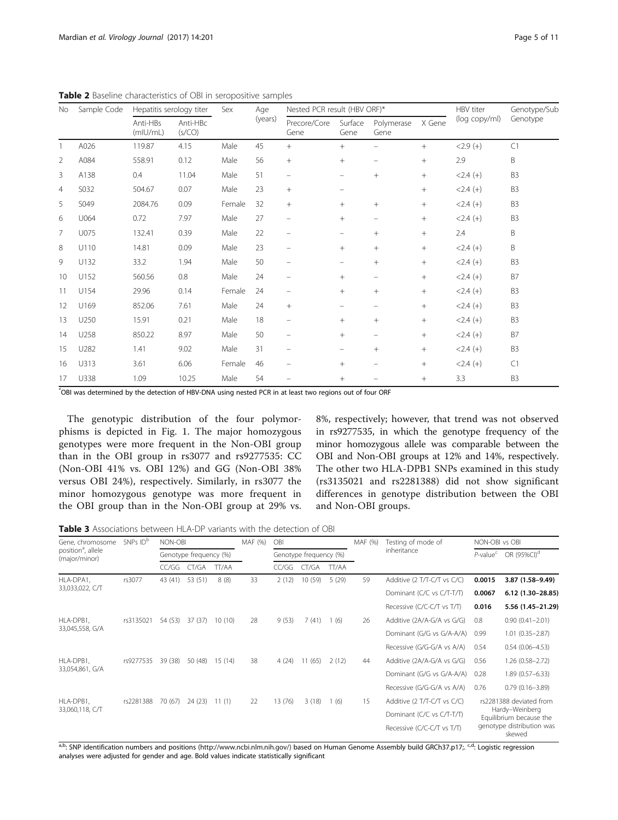| Sample Code<br>No | Hepatitis serology titer |                      | Sex                | Age    | Nested PCR result (HBV ORF)* |                          | HBV titer                | Genotype/Sub             |        |               |                |
|-------------------|--------------------------|----------------------|--------------------|--------|------------------------------|--------------------------|--------------------------|--------------------------|--------|---------------|----------------|
|                   |                          | Anti-HBs<br>(mIU/mL) | Anti-HBc<br>(s/CO) |        | (years)                      | Precore/Core<br>Gene     | Surface<br>Gene          | Polymerase<br>Gene       | X Gene | (log copy/ml) | Genotype       |
|                   | A026                     | 119.87               | 4.15               | Male   | 45                           | $^{+}$                   | $^{+}$                   |                          | $^{+}$ | $<2.9(+)$     | C1             |
| $\overline{2}$    | A084                     | 558.91               | 0.12               | Male   | 56                           | $^{+}$                   | $^{+}$                   |                          | $^{+}$ | 2.9           | B              |
| 3                 | A138                     | 0.4                  | 11.04              | Male   | 51                           | $\qquad \qquad -$        | -                        | $^{+}$                   | $^{+}$ | $<$ 2.4 (+)   | B <sub>3</sub> |
| $\overline{4}$    | S032                     | 504.67               | 0.07               | Male   | 23                           | $+$                      | -                        |                          | $+$    | $< 2.4 (+)$   | B <sub>3</sub> |
| 5                 | S049                     | 2084.76              | 0.09               | Female | 32                           | $^{+}$                   | $^{+}$                   | $+$                      | $^{+}$ | $<$ 2.4 (+)   | B <sub>3</sub> |
| 6                 | U064                     | 0.72                 | 7.97               | Male   | 27                           | $\qquad \qquad -$        | $^{+}$                   | $\qquad \qquad -$        | $+$    | $<$ 2.4 (+)   | B <sub>3</sub> |
| 7                 | U075                     | 132.41               | 0.39               | Male   | 22                           | $\overline{\phantom{m}}$ | $\overline{\phantom{0}}$ | $^{+}$                   | $^{+}$ | 2.4           | Β              |
| 8                 | U110                     | 14.81                | 0.09               | Male   | 23                           | $\qquad \qquad -$        | $\! + \!\!\!\!$          | $^{+}$                   | $^{+}$ | $<$ 2.4 (+)   | B              |
| 9                 | U132                     | 33.2                 | 1.94               | Male   | 50                           | $\qquad \qquad -$        | -                        | $+$                      | $^{+}$ | $<$ 2.4 (+)   | B <sub>3</sub> |
| 10                | U152                     | 560.56               | 0.8                | Male   | 24                           | $\overline{\phantom{m}}$ | $^{+}$                   |                          | $^{+}$ | $<$ 2.4 (+)   | B7             |
| 11                | U154                     | 29.96                | 0.14               | Female | 24                           | $\qquad \qquad -$        | $^{+}$                   | $^{+}$                   | $+$    | $<$ 2.4 $(+)$ | B <sub>3</sub> |
| 12                | U169                     | 852.06               | 7.61               | Male   | 24                           |                          | -                        | $\overline{\phantom{m}}$ | $^{+}$ | $<$ 2.4 $(+)$ | B <sub>3</sub> |
| 13                | U250                     | 15.91                | 0.21               | Male   | 18                           | $\qquad \qquad -$        | $^{+}$                   | $+$                      | $^{+}$ | $< 2.4 (+)$   | B <sub>3</sub> |
| 14                | U258                     | 850.22               | 8.97               | Male   | 50                           | $\qquad \qquad -$        | $^{+}$                   | $\overline{\phantom{0}}$ | $+$    | $<$ 2.4 (+)   | B7             |
| 15                | U282                     | 1.41                 | 9.02               | Male   | 31                           | $\qquad \qquad -$        | $\overline{\phantom{0}}$ | $+$                      | $+$    | $< 2.4 (+)$   | B <sub>3</sub> |
| 16                | U313                     | 3.61                 | 6.06               | Female | 46                           | $\qquad \qquad -$        | $^{+}$                   | $\equiv$                 | $+$    | $< 2.4 (+)$   | C1             |
| 17                | U338                     | 1.09                 | 10.25              | Male   | 54                           |                          | $^{+}$                   |                          | $^{+}$ | 3.3           | B <sub>3</sub> |

<span id="page-4-0"></span>Table 2 Baseline characteristics of OBI in seropositive samples

\* OBI was determined by the detection of HBV-DNA using nested PCR in at least two regions out of four ORF

The genotypic distribution of the four polymorphisms is depicted in Fig. [1.](#page-5-0) The major homozygous genotypes were more frequent in the Non-OBI group than in the OBI group in rs3077 and rs9277535: CC (Non-OBI 41% vs. OBI 12%) and GG (Non-OBI 38% versus OBI 24%), respectively. Similarly, in rs3077 the minor homozygous genotype was more frequent in the OBI group than in the Non-OBI group at 29% vs. 8%, respectively; however, that trend was not observed in rs9277535, in which the genotype frequency of the minor homozygous allele was comparable between the OBI and Non-OBI groups at 12% and 14%, respectively. The other two HLA-DPB1 SNPs examined in this study (rs3135021 and rs2281388) did not show significant differences in genotype distribution between the OBI and Non-OBI groups.

Table 3 Associations between HLA-DP variants with the detection of OBI

| Gene, chromosome<br>position <sup>a</sup> , allele<br>(major/minor) | SNPs ID <sup>b</sup> | NON-OBI                |         |         | MAF (%)                | <b>OBI</b> |        |             | MAF (%) | Testing of mode of          | NON-OBI vs OBI          |                                           |
|---------------------------------------------------------------------|----------------------|------------------------|---------|---------|------------------------|------------|--------|-------------|---------|-----------------------------|-------------------------|-------------------------------------------|
|                                                                     |                      | Genotype frequency (%) |         |         | Genotype frequency (%) |            |        | inheritance |         | $P$ -value $c$              | OR (95%CI) <sup>d</sup> |                                           |
|                                                                     |                      | CC/GG                  | CT/GA   | TT/AA   |                        | CC/GG      | CT/GA  | TT/AA       |         |                             |                         |                                           |
| HLA-DPA1.<br>33,033,022, C/T                                        | rs3077               | 43 (41)                | 53 (51) | 8(8)    | 33                     | 2(12)      | 10(59) | 5(29)       | 59      | Additive (2 T/T-C/T vs C/C) | 0.0015                  | 3.87 (1.58-9.49)                          |
|                                                                     |                      |                        |         |         |                        |            |        |             |         | Dominant (C/C vs C/T-T/T)   | 0.0067                  | $6.12(1.30-28.85)$                        |
|                                                                     |                      |                        |         |         |                        |            |        |             |         | Recessive (C/C-C/T vs T/T)  | 0.016                   | 5.56 (1.45-21.29)                         |
| HLA-DPB1.<br>33,045,558, G/A                                        | rs3135021            | 54 (53)                | 37 (37) | 10(10)  | 28                     | 9(53)      | 7(41)  | 1(6)        | 26      | Additive (2A/A-G/A vs G/G)  | 0.8                     | $0.90(0.41 - 2.01)$                       |
|                                                                     |                      |                        |         |         |                        |            |        |             |         | Dominant (G/G vs G/A-A/A)   | 0.99                    | $1.01(0.35 - 2.87)$                       |
|                                                                     |                      |                        |         |         |                        |            |        |             |         | Recessive (G/G-G/A vs A/A)  | 0.54                    | $0.54(0.06 - 4.53)$                       |
| HLA-DPB1,<br>33,054,861, G/A                                        | rs9277535            | 39 (38)                | 50 (48) | 15 (14) | 38                     | 4(24)      | 11(65) | 2(12)       | 44      | Additive (2A/A-G/A vs G/G)  | 0.56                    | $1.26(0.58 - 2.72)$                       |
|                                                                     |                      |                        |         |         |                        |            |        |             |         | Dominant (G/G vs G/A-A/A)   | 0.28                    | $1.89(0.57 - 6.33)$                       |
|                                                                     |                      |                        |         |         |                        |            |        |             |         | Recessive (G/G-G/A vs A/A)  | 0.76                    | $0.79(0.16 - 3.89)$                       |
| HLA-DPB1.<br>33,060,118, C/T                                        | rs2281388            | 70 (67)                | 24 (23) | 11(1)   | 22                     | 13 (76)    | 3(18)  | 1(6)        | 15      | Additive (2 T/T-C/T vs C/C) |                         | rs2281388 deviated from                   |
|                                                                     |                      |                        |         |         |                        |            |        |             |         | Dominant (C/C vs C/T-T/T)   |                         | Hardy-Weinberg<br>Equilibrium because the |
|                                                                     |                      |                        |         |         |                        |            |        |             |         | Recessive (C/C-C/T vs T/T)  |                         | genotype distribution was<br>skewed       |

a,b: SNP identification numbers and positions [\(http://www.ncbi.nlm.nih.gov/\)](http://www.ncbi.nlm.nih.gov/)) based on Human Genome Assembly build GRCh37.p17;. cd: Logistic regression analyses were adjusted for gender and age. Bold values indicate statistically significant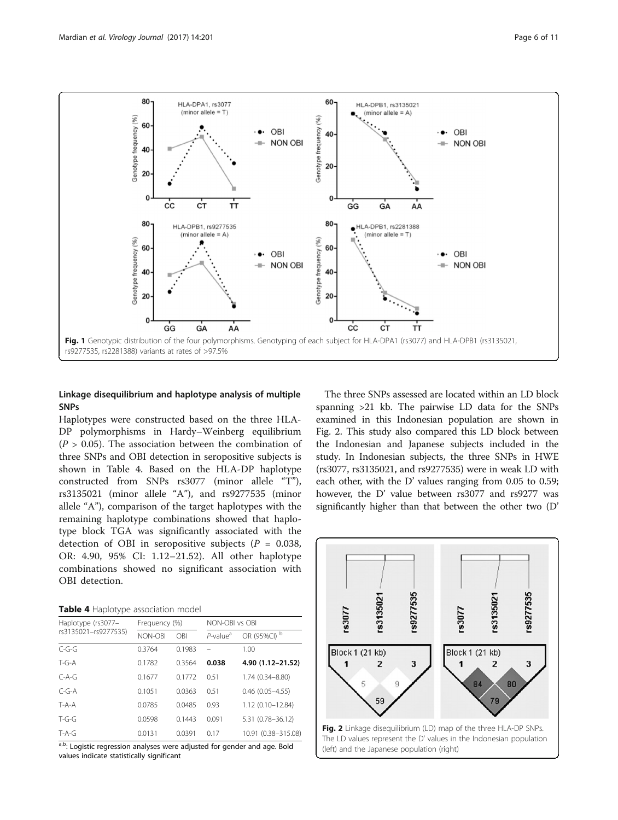<span id="page-5-0"></span>

# Linkage disequilibrium and haplotype analysis of multiple **SNPs**

Haplotypes were constructed based on the three HLA-DP polymorphisms in Hardy–Weinberg equilibrium  $(P > 0.05)$ . The association between the combination of three SNPs and OBI detection in seropositive subjects is shown in Table 4. Based on the HLA-DP haplotype constructed from SNPs rs3077 (minor allele "T"), rs3135021 (minor allele "A"), and rs9277535 (minor allele "A"), comparison of the target haplotypes with the remaining haplotype combinations showed that haplotype block TGA was significantly associated with the detection of OBI in seropositive subjects ( $P = 0.038$ , OR: 4.90, 95% CI: 1.12–21.52). All other haplotype combinations showed no significant association with OBI detection.

| Haplotype (rs3077-   | Frequency (%) |        | NON-OBI vs OBI          |                      |  |  |
|----------------------|---------------|--------|-------------------------|----------------------|--|--|
| rs3135021-rs9277535) | NON-OBI       | OBI    | $P$ -value <sup>a</sup> | OR (95%CI) b         |  |  |
| $C - G - G$          | 0.3764        | 0.1983 |                         | 1.00                 |  |  |
| $T - G - A$          | 0.1782        | 0.3564 | 0.038                   | 4.90 (1.12-21.52)    |  |  |
| $C-A-G$              | 0.1677        | 0.1772 | 0.51                    | 1.74 (0.34-8.80)     |  |  |
| $C - G - A$          | 0.1051        | 0.0363 | 0.51                    | $0.46$ (0.05-4.55)   |  |  |
| $T - A - A$          | 0.0785        | 0.0485 | 0.93                    | $1.12(0.10 - 12.84)$ |  |  |
| $T - G - G$          | 0.0598        | 0.1443 | 0.091                   | 5.31 (0.78-36.12)    |  |  |
| $T-A-G$              | 0.0131        | 0.0391 | 0.17                    | 10.91 (0.38-315.08)  |  |  |

 $a,b$ : Logistic regression analyses were adjusted for gender and age. Bold values indicate statistically significant

The three SNPs assessed are located within an LD block spanning >21 kb. The pairwise LD data for the SNPs examined in this Indonesian population are shown in Fig. 2. This study also compared this LD block between the Indonesian and Japanese subjects included in the study. In Indonesian subjects, the three SNPs in HWE (rs3077, rs3135021, and rs9277535) were in weak LD with each other, with the D' values ranging from 0.05 to 0.59; however, the D' value between rs3077 and rs9277 was significantly higher than that between the other two (D'

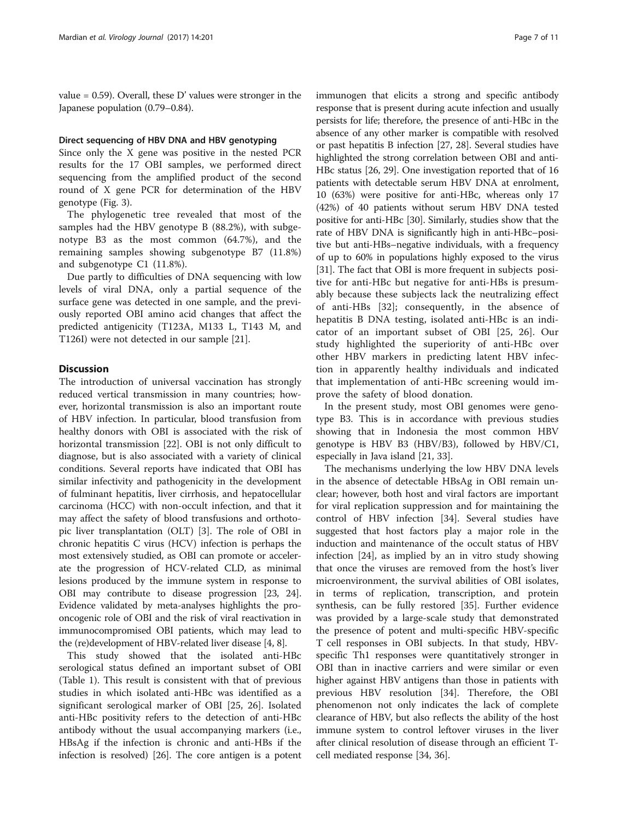value  $= 0.59$ ). Overall, these D' values were stronger in the Japanese population (0.79–0.84).

# Direct sequencing of HBV DNA and HBV genotyping

Since only the X gene was positive in the nested PCR results for the 17 OBI samples, we performed direct sequencing from the amplified product of the second round of X gene PCR for determination of the HBV genotype (Fig. [3\)](#page-7-0).

The phylogenetic tree revealed that most of the samples had the HBV genotype B (88.2%), with subgenotype B3 as the most common (64.7%), and the remaining samples showing subgenotype B7 (11.8%) and subgenotype C1 (11.8%).

Due partly to difficulties of DNA sequencing with low levels of viral DNA, only a partial sequence of the surface gene was detected in one sample, and the previously reported OBI amino acid changes that affect the predicted antigenicity (T123A, M133 L, T143 M, and T126I) were not detected in our sample [\[21](#page-10-0)].

# **Discussion**

The introduction of universal vaccination has strongly reduced vertical transmission in many countries; however, horizontal transmission is also an important route of HBV infection. In particular, blood transfusion from healthy donors with OBI is associated with the risk of horizontal transmission [\[22](#page-10-0)]. OBI is not only difficult to diagnose, but is also associated with a variety of clinical conditions. Several reports have indicated that OBI has similar infectivity and pathogenicity in the development of fulminant hepatitis, liver cirrhosis, and hepatocellular carcinoma (HCC) with non-occult infection, and that it may affect the safety of blood transfusions and orthotopic liver transplantation (OLT) [\[3](#page-9-0)]. The role of OBI in chronic hepatitis C virus (HCV) infection is perhaps the most extensively studied, as OBI can promote or accelerate the progression of HCV-related CLD, as minimal lesions produced by the immune system in response to OBI may contribute to disease progression [\[23, 24](#page-10-0)]. Evidence validated by meta-analyses highlights the prooncogenic role of OBI and the risk of viral reactivation in immunocompromised OBI patients, which may lead to the (re)development of HBV-related liver disease [\[4](#page-9-0), [8\]](#page-9-0).

This study showed that the isolated anti-HBc serological status defined an important subset of OBI (Table [1\)](#page-3-0). This result is consistent with that of previous studies in which isolated anti-HBc was identified as a significant serological marker of OBI [\[25](#page-10-0), [26\]](#page-10-0). Isolated anti-HBc positivity refers to the detection of anti-HBc antibody without the usual accompanying markers (i.e., HBsAg if the infection is chronic and anti-HBs if the infection is resolved) [\[26\]](#page-10-0). The core antigen is a potent

immunogen that elicits a strong and specific antibody response that is present during acute infection and usually persists for life; therefore, the presence of anti-HBc in the absence of any other marker is compatible with resolved or past hepatitis B infection [\[27](#page-10-0), [28](#page-10-0)]. Several studies have highlighted the strong correlation between OBI and anti-HBc status [[26](#page-10-0), [29](#page-10-0)]. One investigation reported that of 16 patients with detectable serum HBV DNA at enrolment, 10 (63%) were positive for anti-HBc, whereas only 17 (42%) of 40 patients without serum HBV DNA tested positive for anti-HBc [\[30\]](#page-10-0). Similarly, studies show that the rate of HBV DNA is significantly high in anti-HBc–positive but anti-HBs–negative individuals, with a frequency of up to 60% in populations highly exposed to the virus [[31](#page-10-0)]. The fact that OBI is more frequent in subjects positive for anti-HBc but negative for anti-HBs is presumably because these subjects lack the neutralizing effect of anti-HBs [[32\]](#page-10-0); consequently, in the absence of hepatitis B DNA testing, isolated anti-HBc is an indicator of an important subset of OBI [[25](#page-10-0), [26](#page-10-0)]. Our study highlighted the superiority of anti-HBc over other HBV markers in predicting latent HBV infection in apparently healthy individuals and indicated that implementation of anti-HBc screening would improve the safety of blood donation.

In the present study, most OBI genomes were genotype B3. This is in accordance with previous studies showing that in Indonesia the most common HBV genotype is HBV B3 (HBV/B3), followed by HBV/C1, especially in Java island [\[21](#page-10-0), [33](#page-10-0)].

The mechanisms underlying the low HBV DNA levels in the absence of detectable HBsAg in OBI remain unclear; however, both host and viral factors are important for viral replication suppression and for maintaining the control of HBV infection [[34\]](#page-10-0). Several studies have suggested that host factors play a major role in the induction and maintenance of the occult status of HBV infection [\[24\]](#page-10-0), as implied by an in vitro study showing that once the viruses are removed from the host's liver microenvironment, the survival abilities of OBI isolates, in terms of replication, transcription, and protein synthesis, can be fully restored [\[35\]](#page-10-0). Further evidence was provided by a large-scale study that demonstrated the presence of potent and multi-specific HBV-specific T cell responses in OBI subjects. In that study, HBVspecific Th1 responses were quantitatively stronger in OBI than in inactive carriers and were similar or even higher against HBV antigens than those in patients with previous HBV resolution [[34](#page-10-0)]. Therefore, the OBI phenomenon not only indicates the lack of complete clearance of HBV, but also reflects the ability of the host immune system to control leftover viruses in the liver after clinical resolution of disease through an efficient Tcell mediated response [[34, 36\]](#page-10-0).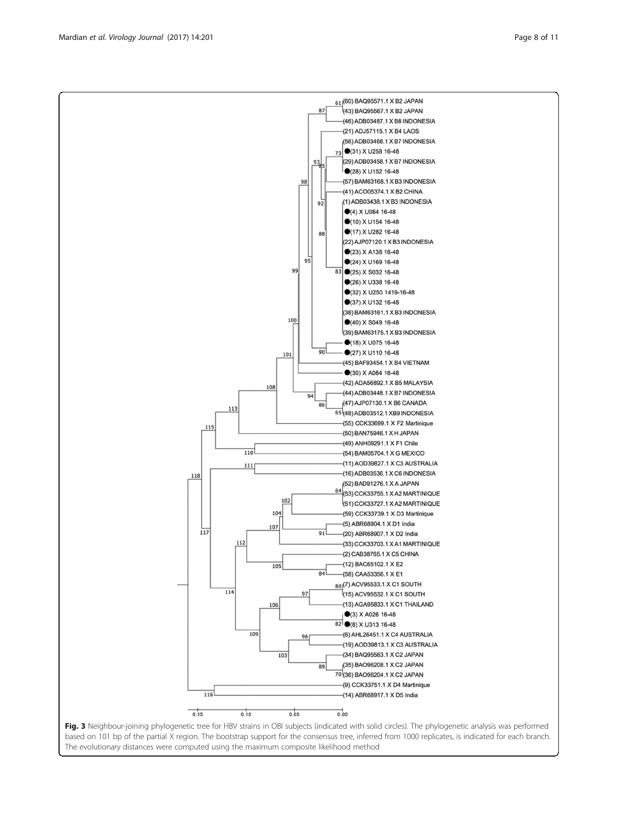Fig. 3 Neighbour-joining phylogenetic tree for HBV strains in OBI subjects (indicated with solid circles). The phylogenetic analysis was performed based on 101 bp of the partial X region. The bootstrap support for the consensus tree, inferred from 1000 replicates, is indicated for each branch. The evolutionary distances were computed using the maximum composite likelihood method

<span id="page-7-0"></span>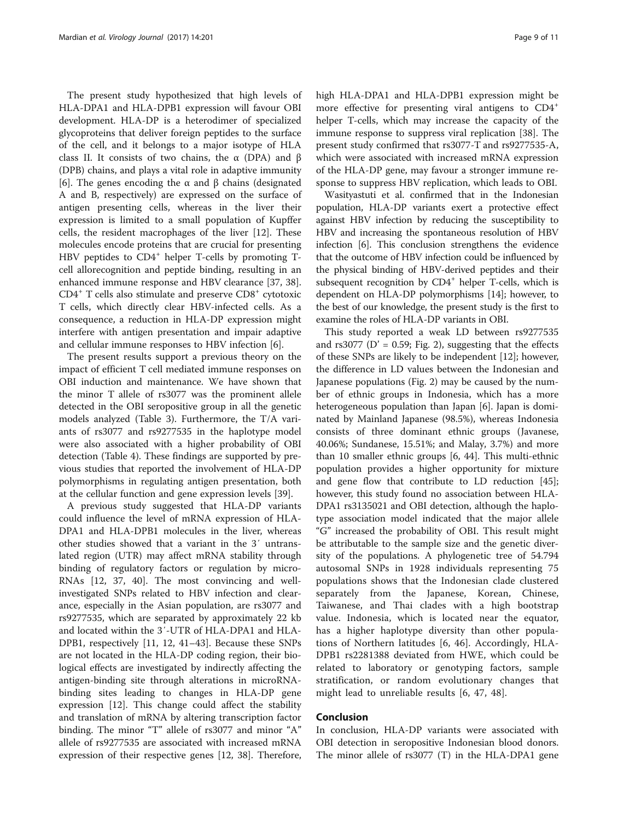The present study hypothesized that high levels of HLA-DPA1 and HLA-DPB1 expression will favour OBI development. HLA-DP is a heterodimer of specialized glycoproteins that deliver foreign peptides to the surface of the cell, and it belongs to a major isotype of HLA class II. It consists of two chains, the  $\alpha$  (DPA) and  $\beta$ (DPB) chains, and plays a vital role in adaptive immunity [[6\]](#page-9-0). The genes encoding the α and β chains (designated A and B, respectively) are expressed on the surface of antigen presenting cells, whereas in the liver their expression is limited to a small population of Kupffer cells, the resident macrophages of the liver [[12\]](#page-9-0). These molecules encode proteins that are crucial for presenting HBV peptides to  $CD4^+$  helper T-cells by promoting Tcell allorecognition and peptide binding, resulting in an enhanced immune response and HBV clearance [\[37](#page-10-0), [38](#page-10-0)].  $CD4<sup>+</sup>$  T cells also stimulate and preserve  $CD8<sup>+</sup>$  cytotoxic T cells, which directly clear HBV-infected cells. As a consequence, a reduction in HLA-DP expression might interfere with antigen presentation and impair adaptive and cellular immune responses to HBV infection [\[6](#page-9-0)].

The present results support a previous theory on the impact of efficient T cell mediated immune responses on OBI induction and maintenance. We have shown that the minor T allele of rs3077 was the prominent allele detected in the OBI seropositive group in all the genetic models analyzed (Table [3](#page-4-0)). Furthermore, the T/A variants of rs3077 and rs9277535 in the haplotype model were also associated with a higher probability of OBI detection (Table [4\)](#page-5-0). These findings are supported by previous studies that reported the involvement of HLA-DP polymorphisms in regulating antigen presentation, both at the cellular function and gene expression levels [\[39](#page-10-0)].

A previous study suggested that HLA-DP variants could influence the level of mRNA expression of HLA-DPA1 and HLA-DPB1 molecules in the liver, whereas other studies showed that a variant in the 3′ untranslated region (UTR) may affect mRNA stability through binding of regulatory factors or regulation by micro-RNAs [[12](#page-9-0), [37, 40](#page-10-0)]. The most convincing and wellinvestigated SNPs related to HBV infection and clearance, especially in the Asian population, are rs3077 and rs9277535, which are separated by approximately 22 kb and located within the 3′-UTR of HLA-DPA1 and HLA-DPB1, respectively [[11, 12,](#page-9-0) [41](#page-10-0)–[43](#page-10-0)]. Because these SNPs are not located in the HLA-DP coding region, their biological effects are investigated by indirectly affecting the antigen-binding site through alterations in microRNAbinding sites leading to changes in HLA-DP gene expression [\[12\]](#page-9-0). This change could affect the stability and translation of mRNA by altering transcription factor binding. The minor "T" allele of rs3077 and minor "A" allele of rs9277535 are associated with increased mRNA expression of their respective genes [\[12,](#page-9-0) [38\]](#page-10-0). Therefore, high HLA-DPA1 and HLA-DPB1 expression might be more effective for presenting viral antigens to CD4<sup>+</sup> helper T-cells, which may increase the capacity of the immune response to suppress viral replication [[38\]](#page-10-0). The present study confirmed that rs3077-T and rs9277535-A, which were associated with increased mRNA expression of the HLA-DP gene, may favour a stronger immune response to suppress HBV replication, which leads to OBI.

Wasityastuti et al. confirmed that in the Indonesian population, HLA-DP variants exert a protective effect against HBV infection by reducing the susceptibility to HBV and increasing the spontaneous resolution of HBV infection [\[6](#page-9-0)]. This conclusion strengthens the evidence that the outcome of HBV infection could be influenced by the physical binding of HBV-derived peptides and their subsequent recognition by CD4<sup>+</sup> helper T-cells, which is dependent on HLA-DP polymorphisms [\[14\]](#page-9-0); however, to the best of our knowledge, the present study is the first to examine the roles of HLA-DP variants in OBI.

This study reported a weak LD between rs9277535 and rs3077 ( $D' = 0.59$ ; Fig. [2\)](#page-5-0), suggesting that the effects of these SNPs are likely to be independent [[12\]](#page-9-0); however, the difference in LD values between the Indonesian and Japanese populations (Fig. [2\)](#page-5-0) may be caused by the number of ethnic groups in Indonesia, which has a more heterogeneous population than Japan [\[6\]](#page-9-0). Japan is dominated by Mainland Japanese (98.5%), whereas Indonesia consists of three dominant ethnic groups (Javanese, 40.06%; Sundanese, 15.51%; and Malay, 3.7%) and more than 10 smaller ethnic groups [[6,](#page-9-0) [44](#page-10-0)]. This multi-ethnic population provides a higher opportunity for mixture and gene flow that contribute to LD reduction [\[45](#page-10-0)]; however, this study found no association between HLA-DPA1 rs3135021 and OBI detection, although the haplotype association model indicated that the major allele "G" increased the probability of OBI. This result might be attributable to the sample size and the genetic diversity of the populations. A phylogenetic tree of 54.794 autosomal SNPs in 1928 individuals representing 75 populations shows that the Indonesian clade clustered separately from the Japanese, Korean, Chinese, Taiwanese, and Thai clades with a high bootstrap value. Indonesia, which is located near the equator, has a higher haplotype diversity than other populations of Northern latitudes [[6](#page-9-0), [46](#page-10-0)]. Accordingly, HLA-DPB1 rs2281388 deviated from HWE, which could be related to laboratory or genotyping factors, sample stratification, or random evolutionary changes that might lead to unreliable results [[6](#page-9-0), [47](#page-10-0), [48](#page-10-0)].

# Conclusion

In conclusion, HLA-DP variants were associated with OBI detection in seropositive Indonesian blood donors. The minor allele of rs3077 (T) in the HLA-DPA1 gene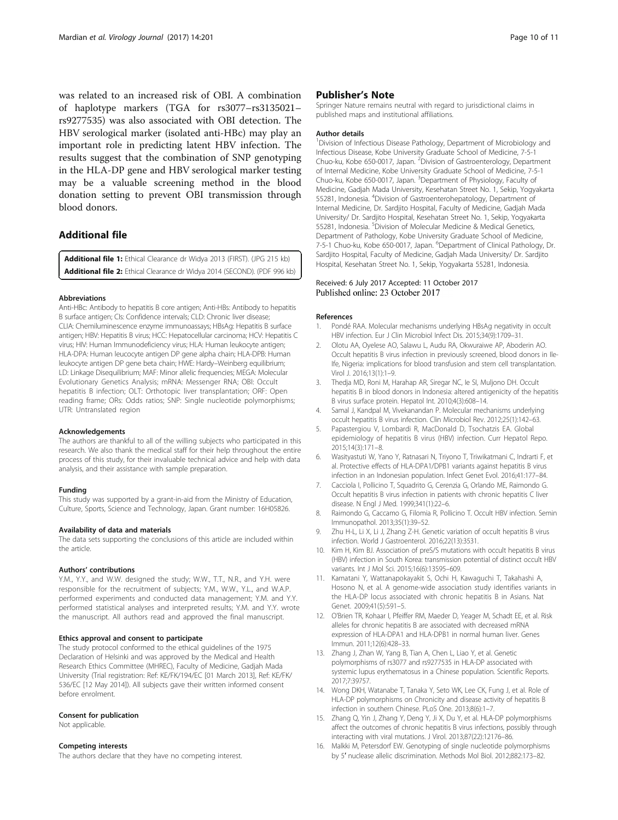<span id="page-9-0"></span>was related to an increased risk of OBI. A combination of haplotype markers (TGA for rs3077–rs3135021– rs9277535) was also associated with OBI detection. The HBV serological marker (isolated anti-HBc) may play an important role in predicting latent HBV infection. The results suggest that the combination of SNP genotyping in the HLA-DP gene and HBV serological marker testing may be a valuable screening method in the blood donation setting to prevent OBI transmission through blood donors.

# Additional file

[Additional file 1:](dx.doi.org/10.1186/s12985-017-0865-7) Ethical Clearance dr Widya 2013 (FIRST). (JPG 215 kb) [Additional file 2:](dx.doi.org/10.1186/s12985-017-0865-7) Ethical Clearance dr Widya 2014 (SECOND). (PDF 996 kb)

# Abbreviations

Anti-HBc: Antibody to hepatitis B core antigen; Anti-HBs: Antibody to hepatitis B surface antigen; CIs: Confidence intervals; CLD: Chronic liver disease; CLIA: Chemiluminescence enzyme immunoassays; HBsAg: Hepatitis B surface antigen; HBV: Hepatitis B virus; HCC: Hepatocellular carcinoma; HCV: Hepatitis C virus; HIV: Human Immunodeficiency virus; HLA: Human leukocyte antigen; HLA-DPA: Human leucocyte antigen DP gene alpha chain; HLA-DPB: Human leukocyte antigen DP gene beta chain; HWE: Hardy–Weinberg equilibrium; LD: Linkage Disequilibrium; MAF: Minor allelic frequencies; MEGA: Molecular Evolutionary Genetics Analysis; mRNA: Messenger RNA; OBI: Occult hepatitis B infection; OLT: Orthotopic liver transplantation; ORF: Open reading frame; ORs: Odds ratios; SNP: Single nucleotide polymorphisms; UTR: Untranslated region

#### Acknowledgements

The authors are thankful to all of the willing subjects who participated in this research. We also thank the medical staff for their help throughout the entire process of this study, for their invaluable technical advice and help with data analysis, and their assistance with sample preparation.

#### Funding

This study was supported by a grant-in-aid from the Ministry of Education, Culture, Sports, Science and Technology, Japan. Grant number: 16H05826.

#### Availability of data and materials

The data sets supporting the conclusions of this article are included within the article.

#### Authors' contributions

Y.M., Y.Y., and W.W. designed the study; W.W., T.T., N.R., and Y.H. were responsible for the recruitment of subjects; Y.M., W.W., Y.L., and W.A.P. performed experiments and conducted data management; Y.M. and Y.Y. performed statistical analyses and interpreted results; Y.M. and Y.Y. wrote the manuscript. All authors read and approved the final manuscript.

# Ethics approval and consent to participate

The study protocol conformed to the ethical guidelines of the 1975 Declaration of Helsinki and was approved by the Medical and Health Research Ethics Committee (MHREC), Faculty of Medicine, Gadjah Mada University (Trial registration: Ref: KE/FK/194/EC [01 March 2013], Ref: KE/FK/ 536/EC [12 May 2014]). All subjects gave their written informed consent before enrolment.

#### Consent for publication

Not applicable.

# Competing interests

The authors declare that they have no competing interest.

# Publisher's Note

Springer Nature remains neutral with regard to jurisdictional claims in published maps and institutional affiliations.

#### Author details

<sup>1</sup> Division of Infectious Disease Pathology, Department of Microbiology and Infectious Disease, Kobe University Graduate School of Medicine, 7-5-1 Chuo-ku, Kobe 650-0017, Japan. <sup>2</sup> Division of Gastroenterology, Department of Internal Medicine, Kobe University Graduate School of Medicine, 7-5-1 Chuo-ku, Kobe 650-0017, Japan. <sup>3</sup>Department of Physiology, Faculty of Medicine, Gadjah Mada University, Kesehatan Street No. 1, Sekip, Yogyakarta 55281, Indonesia. <sup>4</sup>Division of Gastroenterohepatology, Department of Internal Medicine, Dr. Sardjito Hospital, Faculty of Medicine, Gadjah Mada University/ Dr. Sardjito Hospital, Kesehatan Street No. 1, Sekip, Yogyakarta 55281, Indonesia. <sup>5</sup> Division of Molecular Medicine & Medical Genetics Department of Pathology, Kobe University Graduate School of Medicine, 7-5-1 Chuo-ku, Kobe 650-0017, Japan. <sup>6</sup>Department of Clinical Pathology, Dr. Sardjito Hospital, Faculty of Medicine, Gadjah Mada University/ Dr. Sardjito Hospital, Kesehatan Street No. 1, Sekip, Yogyakarta 55281, Indonesia.

# Received: 6 July 2017 Accepted: 11 October 2017 Published online: 23 October 2017

#### References

- 1. Pondé RAA. Molecular mechanisms underlying HBsAg negativity in occult HBV infection. Eur J Clin Microbiol Infect Dis. 2015;34(9):1709–31.
- 2. Olotu AA, Oyelese AO, Salawu L, Audu RA, Okwuraiwe AP, Aboderin AO. Occult hepatitis B virus infection in previously screened, blood donors in Ile-Ife, Nigeria: implications for blood transfusion and stem cell transplantation. Virol J. 2016;13(1):1–9.
- 3. Thedja MD, Roni M, Harahap AR, Siregar NC, Ie SI, Muljono DH. Occult hepatitis B in blood donors in Indonesia: altered antigenicity of the hepatitis B virus surface protein. Hepatol Int. 2010;4(3):608–14.
- 4. Samal J, Kandpal M, Vivekanandan P. Molecular mechanisms underlying occult hepatitis B virus infection. Clin Microbiol Rev. 2012;25(1):142–63.
- 5. Papastergiou V, Lombardi R, MacDonald D, Tsochatzis EA. Global epidemiology of hepatitis B virus (HBV) infection. Curr Hepatol Repo. 2015;14(3):171–8.
- 6. Wasityastuti W, Yano Y, Ratnasari N, Triyono T, Triwikatmani C, Indrarti F, et al. Protective effects of HLA-DPA1/DPB1 variants against hepatitis B virus infection in an Indonesian population. Infect Genet Evol. 2016;41:177–84.
- 7. Cacciola I, Pollicino T, Squadrito G, Cerenzia G, Orlando ME, Raimondo G. Occult hepatitis B virus infection in patients with chronic hepatitis C liver disease. N Engl J Med. 1999;341(1):22–6.
- 8. Raimondo G, Caccamo G, Filomia R, Pollicino T. Occult HBV infection. Semin Immunopathol. 2013;35(1):39–52.
- 9. Zhu H-L, Li X, Li J, Zhang Z-H. Genetic variation of occult hepatitis B virus infection. World J Gastroenterol. 2016;22(13):3531.
- 10. Kim H, Kim BJ. Association of preS/S mutations with occult hepatitis B virus (HBV) infection in South Korea: transmission potential of distinct occult HBV variants. Int J Mol Sci. 2015;16(6):13595–609.
- 11. Kamatani Y, Wattanapokayakit S, Ochi H, Kawaguchi T, Takahashi A, Hosono N, et al. A genome-wide association study identifies variants in the HLA-DP locus associated with chronic hepatitis B in Asians. Nat Genet. 2009;41(5):591–5.
- 12. O'Brien TR, Kohaar I, Pfeiffer RM, Maeder D, Yeager M, Schadt EE, et al. Risk alleles for chronic hepatitis B are associated with decreased mRNA expression of HLA-DPA1 and HLA-DPB1 in normal human liver. Genes Immun. 2011;12(6):428–33.
- 13. Zhang J, Zhan W, Yang B, Tian A, Chen L, Liao Y, et al. Genetic polymorphisms of rs3077 and rs9277535 in HLA-DP associated with systemic lupus erythematosus in a Chinese population. Scientific Reports. 2017;7:39757.
- 14. Wong DKH, Watanabe T, Tanaka Y, Seto WK, Lee CK, Fung J, et al. Role of HLA-DP polymorphisms on Chronicity and disease activity of hepatitis B infection in southern Chinese. PLoS One. 2013;8(6):1–7.
- 15. Zhang Q, Yin J, Zhang Y, Deng Y, Ji X, Du Y, et al. HLA-DP polymorphisms affect the outcomes of chronic hepatitis B virus infections, possibly through interacting with viral mutations. J Virol. 2013;87(22):12176–86.
- 16. Malkki M, Petersdorf EW. Genotyping of single nucleotide polymorphisms by 5′ nuclease allelic discrimination. Methods Mol Biol. 2012;882:173–82.